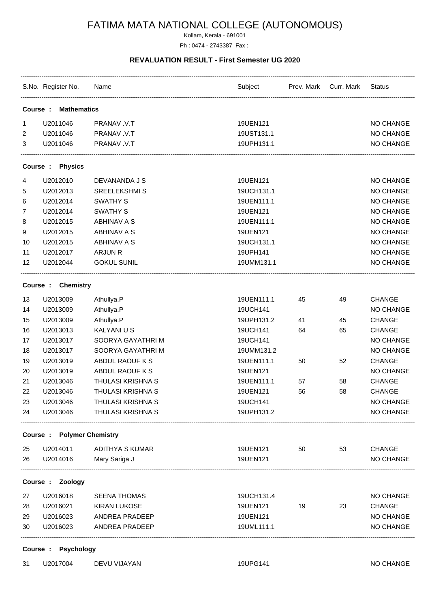# FATIMA MATA NATIONAL COLLEGE (AUTONOMOUS)

Kollam, Kerala - 691001 Ph : 0474 - 2743387 Fax :

#### **REVALUATION RESULT - First Semester UG 2020**

|                    | S.No. Register No. Name           |                          | Subject    |    | Prev. Mark Curr. Mark | Status        |  |  |
|--------------------|-----------------------------------|--------------------------|------------|----|-----------------------|---------------|--|--|
| Course :           | <b>Mathematics</b>                |                          |            |    |                       |               |  |  |
| 1                  | U2011046                          | PRANAV .V.T              | 19UEN121   |    |                       | NO CHANGE     |  |  |
| 2                  | U2011046                          | PRANAV .V.T              | 19UST131.1 |    |                       | NO CHANGE     |  |  |
| 3                  | U2011046                          | PRANAV .V.T              | 19UPH131.1 |    |                       | NO CHANGE     |  |  |
|                    | Course : Physics                  |                          |            |    |                       |               |  |  |
| 4                  | U2012010                          | DEVANANDA J S            | 19UEN121   |    |                       | NO CHANGE     |  |  |
| 5                  | U2012013                          | <b>SREELEKSHMI S</b>     | 19UCH131.1 |    |                       | NO CHANGE     |  |  |
| 6                  | U2012014                          | <b>SWATHY S</b>          | 19UEN111.1 |    |                       | NO CHANGE     |  |  |
| 7                  | U2012014                          | <b>SWATHY S</b>          | 19UEN121   |    |                       | NO CHANGE     |  |  |
| 8                  | U2012015                          | <b>ABHINAV A S</b>       | 19UEN111.1 |    |                       | NO CHANGE     |  |  |
| 9                  | U2012015                          | <b>ABHINAV A S</b>       | 19UEN121   |    |                       | NO CHANGE     |  |  |
| 10                 | U2012015                          | <b>ABHINAV A S</b>       | 19UCH131.1 |    |                       | NO CHANGE     |  |  |
| 11                 | U2012017                          | ARJUN R                  | 19UPH141   |    |                       | NO CHANGE     |  |  |
| 12                 | U2012044                          | <b>GOKUL SUNIL</b>       | 19UMM131.1 |    |                       | NO CHANGE     |  |  |
| Course : Chemistry |                                   |                          |            |    |                       |               |  |  |
| 13                 | U2013009                          | Athullya.P               | 19UEN111.1 | 45 | 49                    | <b>CHANGE</b> |  |  |
| 14                 | U2013009                          | Athullya.P               | 19UCH141   |    |                       | NO CHANGE     |  |  |
| 15                 | U2013009                          | Athullya.P               | 19UPH131.2 | 41 | 45                    | <b>CHANGE</b> |  |  |
| 16                 | U2013013                          | KALYANI U S              | 19UCH141   | 64 | 65                    | <b>CHANGE</b> |  |  |
| 17                 | U2013017                          | SOORYA GAYATHRI M        | 19UCH141   |    |                       | NO CHANGE     |  |  |
| 18                 | U2013017                          | SOORYA GAYATHRI M        | 19UMM131.2 |    |                       | NO CHANGE     |  |  |
| 19                 | U2013019                          | ABDUL RAOUF K S          | 19UEN111.1 | 50 | 52                    | <b>CHANGE</b> |  |  |
| 20                 | U2013019                          | ABDUL RAOUF K S          | 19UEN121   |    |                       | NO CHANGE     |  |  |
| 21                 | U2013046                          | THULASI KRISHNA S        | 19UEN111.1 | 57 | 58                    | <b>CHANGE</b> |  |  |
| 22                 | U2013046                          | <b>THULASI KRISHNA S</b> | 19UEN121   | 56 | 58                    | <b>CHANGE</b> |  |  |
| 23                 | U2013046                          | <b>THULASI KRISHNA S</b> | 19UCH141   |    |                       | NO CHANGE     |  |  |
| 24                 | U2013046                          | THULASI KRISHNA S        | 19UPH131.2 |    |                       | NO CHANGE     |  |  |
|                    | <b>Course : Polymer Chemistry</b> |                          |            |    |                       |               |  |  |
| 25                 | U2014011                          | ADITHYA S KUMAR          | 19UEN121   | 50 | 53                    | CHANGE        |  |  |
| 26                 | U2014016                          | Mary Sariga J            | 19UEN121   |    |                       | NO CHANGE     |  |  |
|                    | Course : Zoology                  |                          |            |    |                       |               |  |  |
| 27                 | U2016018                          | <b>SEENA THOMAS</b>      | 19UCH131.4 |    |                       | NO CHANGE     |  |  |
| 28                 | U2016021                          | <b>KIRAN LUKOSE</b>      | 19UEN121   | 19 | 23                    | <b>CHANGE</b> |  |  |
| 29                 | U2016023                          | ANDREA PRADEEP           | 19UEN121   |    |                       | NO CHANGE     |  |  |
| 30                 | U2016023                          | ANDREA PRADEEP           | 19UML111.1 |    |                       | NO CHANGE     |  |  |
|                    |                                   |                          |            |    |                       |               |  |  |

**Course : Psychology**

31 U2017004 DEVU VIJAYAN 19UPG141 19UPG141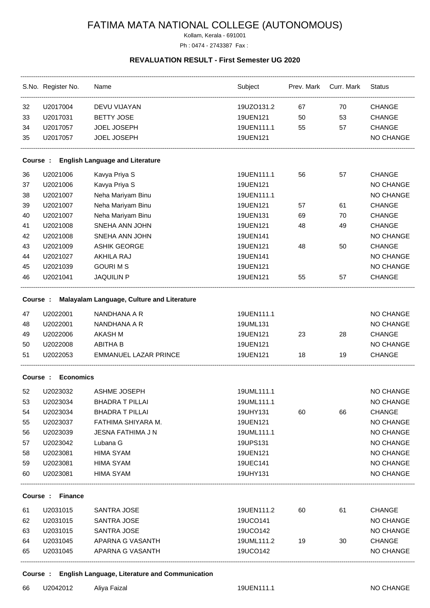# FATIMA MATA NATIONAL COLLEGE (AUTONOMOUS)

Kollam, Kerala - 691001 Ph : 0474 - 2743387 Fax :

#### **REVALUATION RESULT - First Semester UG 2020**

|                                                    | S.No. Register No. | Name                         | Subject    |    | Prev. Mark Curr. Mark | <b>Status</b>    |  |  |
|----------------------------------------------------|--------------------|------------------------------|------------|----|-----------------------|------------------|--|--|
| 32                                                 | U2017004           | DEVU VIJAYAN                 | 19UZO131.2 | 67 | 70                    | <b>CHANGE</b>    |  |  |
| 33                                                 | U2017031           | <b>BETTY JOSE</b>            | 19UEN121   | 50 | 53                    | <b>CHANGE</b>    |  |  |
| 34                                                 | U2017057           | JOEL JOSEPH                  | 19UEN111.1 | 55 | 57                    | <b>CHANGE</b>    |  |  |
| 35                                                 | U2017057           | JOEL JOSEPH                  | 19UEN121   |    |                       | NO CHANGE        |  |  |
| <b>English Language and Literature</b><br>Course : |                    |                              |            |    |                       |                  |  |  |
| 36                                                 | U2021006           | Kavya Priya S                | 19UEN111.1 | 56 | 57                    | <b>CHANGE</b>    |  |  |
| 37                                                 | U2021006           | Kavya Priya S                | 19UEN121   |    |                       | NO CHANGE        |  |  |
| 38                                                 | U2021007           | Neha Mariyam Binu            | 19UEN111.1 |    |                       | NO CHANGE        |  |  |
| 39                                                 | U2021007           | Neha Mariyam Binu            | 19UEN121   | 57 | 61                    | <b>CHANGE</b>    |  |  |
| 40                                                 | U2021007           | Neha Mariyam Binu            | 19UEN131   | 69 | 70                    | <b>CHANGE</b>    |  |  |
| 41                                                 | U2021008           | SNEHA ANN JOHN               | 19UEN121   | 48 | 49                    | <b>CHANGE</b>    |  |  |
| 42                                                 | U2021008           | SNEHA ANN JOHN               | 19UEN141   |    |                       | NO CHANGE        |  |  |
| 43                                                 | U2021009           | <b>ASHIK GEORGE</b>          | 19UEN121   | 48 | 50                    | <b>CHANGE</b>    |  |  |
| 44                                                 | U2021027           | <b>AKHILA RAJ</b>            | 19UEN141   |    |                       | NO CHANGE        |  |  |
| 45                                                 | U2021039           | <b>GOURI M S</b>             | 19UEN121   |    |                       | <b>NO CHANGE</b> |  |  |
| 46                                                 | U2021041           | <b>JAQUILIN P</b>            | 19UEN121   | 55 | 57                    | <b>CHANGE</b>    |  |  |
| Course: Malayalam Language, Culture and Literature |                    |                              |            |    |                       |                  |  |  |
| 47                                                 | U2022001           | NANDHANA A R                 | 19UEN111.1 |    |                       | NO CHANGE        |  |  |
| 48                                                 | U2022001           | NANDHANA A R                 | 19UML131   |    |                       | NO CHANGE        |  |  |
| 49                                                 | U2022006           | <b>AKASH M</b>               | 19UEN121   | 23 | 28                    | <b>CHANGE</b>    |  |  |
| 50                                                 | U2022008           | <b>ABITHA B</b>              | 19UEN121   |    |                       | <b>NO CHANGE</b> |  |  |
| 51                                                 | U2022053           | <b>EMMANUEL LAZAR PRINCE</b> | 19UEN121   | 18 | 19                    | <b>CHANGE</b>    |  |  |
| Course:                                            | <b>Economics</b>   |                              |            |    |                       |                  |  |  |
| 52                                                 | U2023032           | <b>ASHME JOSEPH</b>          | 19UML111.1 |    |                       | <b>NO CHANGE</b> |  |  |
| 53                                                 | U2023034           | <b>BHADRA T PILLAI</b>       | 19UML111.1 |    |                       | NO CHANGE        |  |  |
| 54                                                 | U2023034           | <b>BHADRA T PILLAI</b>       | 19UHY131   | 60 | 66                    | <b>CHANGE</b>    |  |  |
| 55                                                 | U2023037           | FATHIMA SHIYARA M.           | 19UEN121   |    |                       | NO CHANGE        |  |  |
| 56                                                 | U2023039           | JESNA FATHIMA J N            | 19UML111.1 |    |                       | NO CHANGE        |  |  |
| 57                                                 | U2023042           | Lubana G                     | 19UPS131   |    |                       | NO CHANGE        |  |  |
| 58                                                 | U2023081           | <b>HIMA SYAM</b>             | 19UEN121   |    |                       | NO CHANGE        |  |  |
| 59                                                 | U2023081           | <b>HIMA SYAM</b>             | 19UEC141   |    |                       | NO CHANGE        |  |  |
| 60                                                 | U2023081           | <b>HIMA SYAM</b>             | 19UHY131   |    |                       | NO CHANGE        |  |  |
| <b>Finance</b><br>Course :                         |                    |                              |            |    |                       |                  |  |  |
| 61                                                 | U2031015           | SANTRA JOSE                  | 19UEN111.2 | 60 | 61                    | <b>CHANGE</b>    |  |  |
| 62                                                 | U2031015           | SANTRA JOSE                  | 19UCO141   |    |                       | NO CHANGE        |  |  |
| 63                                                 | U2031015           | SANTRA JOSE                  | 19UCO142   |    |                       | NO CHANGE        |  |  |
| 64                                                 | U2031045           | APARNA G VASANTH             | 19UML111.2 | 19 | 30                    | <b>CHANGE</b>    |  |  |
| 65                                                 | U2031045           | APARNA G VASANTH             | 19UCO142   |    |                       | NO CHANGE        |  |  |
|                                                    |                    |                              |            |    |                       |                  |  |  |

### **Course : English Language, Literature and Communication**